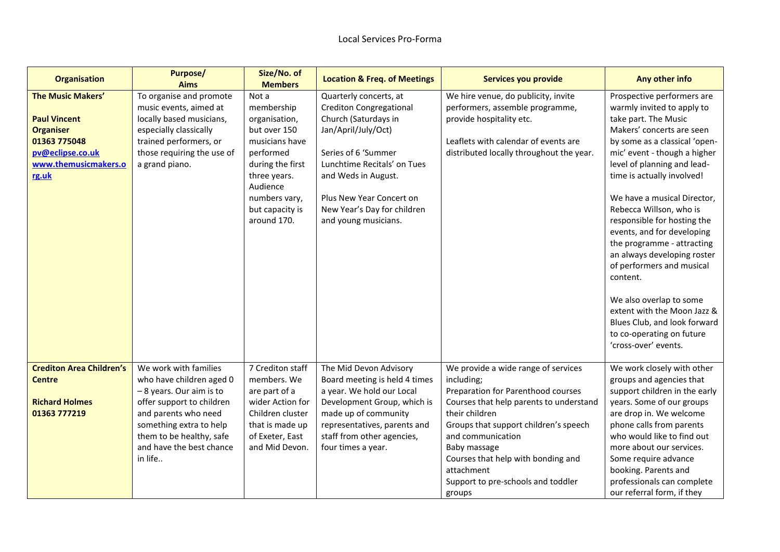| <b>Organisation</b>                                                                                                                      | <b>Purpose/</b><br><b>Aims</b>                                                                                                                                                                                                  | Size/No. of<br><b>Members</b>                                                                                                                                                          | <b>Location &amp; Freq. of Meetings</b>                                                                                                                                                                                                                                 | Services you provide                                                                                                                                                                                                                                                                                                                   | Any other info                                                                                                                                                                                                                                                                                                                                                                                                                                                                                                                                                                                                          |
|------------------------------------------------------------------------------------------------------------------------------------------|---------------------------------------------------------------------------------------------------------------------------------------------------------------------------------------------------------------------------------|----------------------------------------------------------------------------------------------------------------------------------------------------------------------------------------|-------------------------------------------------------------------------------------------------------------------------------------------------------------------------------------------------------------------------------------------------------------------------|----------------------------------------------------------------------------------------------------------------------------------------------------------------------------------------------------------------------------------------------------------------------------------------------------------------------------------------|-------------------------------------------------------------------------------------------------------------------------------------------------------------------------------------------------------------------------------------------------------------------------------------------------------------------------------------------------------------------------------------------------------------------------------------------------------------------------------------------------------------------------------------------------------------------------------------------------------------------------|
| <b>The Music Makers'</b><br><b>Paul Vincent</b><br><b>Organiser</b><br>01363 775048<br>pv@eclipse.co.uk<br>www.themusicmakers.o<br>rg.uk | To organise and promote<br>music events, aimed at<br>locally based musicians,<br>especially classically<br>trained performers, or<br>those requiring the use of<br>a grand piano.                                               | Not a<br>membership<br>organisation,<br>but over 150<br>musicians have<br>performed<br>during the first<br>three years.<br>Audience<br>numbers vary,<br>but capacity is<br>around 170. | Quarterly concerts, at<br><b>Crediton Congregational</b><br>Church (Saturdays in<br>Jan/April/July/Oct)<br>Series of 6 'Summer<br>Lunchtime Recitals' on Tues<br>and Weds in August.<br>Plus New Year Concert on<br>New Year's Day for children<br>and young musicians. | We hire venue, do publicity, invite<br>performers, assemble programme,<br>provide hospitality etc.<br>Leaflets with calendar of events are<br>distributed locally throughout the year.                                                                                                                                                 | Prospective performers are<br>warmly invited to apply to<br>take part. The Music<br>Makers' concerts are seen<br>by some as a classical 'open-<br>mic' event - though a higher<br>level of planning and lead-<br>time is actually involved!<br>We have a musical Director,<br>Rebecca Willson, who is<br>responsible for hosting the<br>events, and for developing<br>the programme - attracting<br>an always developing roster<br>of performers and musical<br>content.<br>We also overlap to some<br>extent with the Moon Jazz &<br>Blues Club, and look forward<br>to co-operating on future<br>'cross-over' events. |
| <b>Crediton Area Children's</b><br><b>Centre</b><br><b>Richard Holmes</b><br>01363 777219                                                | We work with families<br>who have children aged 0<br>-8 years. Our aim is to<br>offer support to children<br>and parents who need<br>something extra to help<br>them to be healthy, safe<br>and have the best chance<br>in life | 7 Crediton staff<br>members. We<br>are part of a<br>wider Action for<br>Children cluster<br>that is made up<br>of Exeter, East<br>and Mid Devon.                                       | The Mid Devon Advisory<br>Board meeting is held 4 times<br>a year. We hold our Local<br>Development Group, which is<br>made up of community<br>representatives, parents and<br>staff from other agencies,<br>four times a year.                                         | We provide a wide range of services<br>including;<br>Preparation for Parenthood courses<br>Courses that help parents to understand<br>their children<br>Groups that support children's speech<br>and communication<br>Baby massage<br>Courses that help with bonding and<br>attachment<br>Support to pre-schools and toddler<br>groups | We work closely with other<br>groups and agencies that<br>support children in the early<br>years. Some of our groups<br>are drop in. We welcome<br>phone calls from parents<br>who would like to find out<br>more about our services.<br>Some require advance<br>booking. Parents and<br>professionals can complete<br>our referral form, if they                                                                                                                                                                                                                                                                       |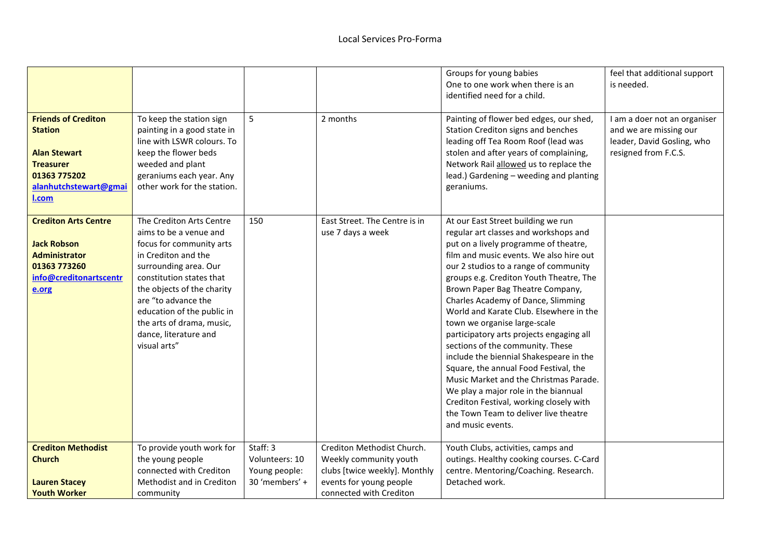| <b>Friends of Crediton</b><br><b>Station</b><br><b>Alan Stewart</b><br><b>Treasurer</b><br>01363 775202<br>alanhutchstewart@gmai<br>l.com | To keep the station sign<br>painting in a good state in<br>line with LSWR colours. To<br>keep the flower beds<br>weeded and plant<br>geraniums each year. Any<br>other work for the station.                                                                                                                        | 5                                                             | 2 months                                                                                                                                    | Groups for young babies<br>One to one work when there is an<br>identified need for a child.<br>Painting of flower bed edges, our shed,<br>Station Crediton signs and benches<br>leading off Tea Room Roof (lead was<br>stolen and after years of complaining,<br>Network Rail allowed us to replace the<br>lead.) Gardening - weeding and planting<br>geraniums.                                                                                                                                                                                                                                                                                                                                                                                   | feel that additional support<br>is needed.<br>I am a doer not an organiser<br>and we are missing our<br>leader, David Gosling, who<br>resigned from F.C.S. |
|-------------------------------------------------------------------------------------------------------------------------------------------|---------------------------------------------------------------------------------------------------------------------------------------------------------------------------------------------------------------------------------------------------------------------------------------------------------------------|---------------------------------------------------------------|---------------------------------------------------------------------------------------------------------------------------------------------|----------------------------------------------------------------------------------------------------------------------------------------------------------------------------------------------------------------------------------------------------------------------------------------------------------------------------------------------------------------------------------------------------------------------------------------------------------------------------------------------------------------------------------------------------------------------------------------------------------------------------------------------------------------------------------------------------------------------------------------------------|------------------------------------------------------------------------------------------------------------------------------------------------------------|
| <b>Crediton Arts Centre</b><br><b>Jack Robson</b><br><b>Administrator</b><br>01363 773260<br>info@creditonartscentr<br>e.org              | The Crediton Arts Centre<br>aims to be a venue and<br>focus for community arts<br>in Crediton and the<br>surrounding area. Our<br>constitution states that<br>the objects of the charity<br>are "to advance the<br>education of the public in<br>the arts of drama, music,<br>dance, literature and<br>visual arts" | 150                                                           | East Street. The Centre is in<br>use 7 days a week                                                                                          | At our East Street building we run<br>regular art classes and workshops and<br>put on a lively programme of theatre,<br>film and music events. We also hire out<br>our 2 studios to a range of community<br>groups e.g. Crediton Youth Theatre, The<br>Brown Paper Bag Theatre Company,<br>Charles Academy of Dance, Slimming<br>World and Karate Club. Elsewhere in the<br>town we organise large-scale<br>participatory arts projects engaging all<br>sections of the community. These<br>include the biennial Shakespeare in the<br>Square, the annual Food Festival, the<br>Music Market and the Christmas Parade.<br>We play a major role in the biannual<br>Crediton Festival, working closely with<br>the Town Team to deliver live theatre |                                                                                                                                                            |
| <b>Crediton Methodist</b><br><b>Church</b><br><b>Lauren Stacey</b><br><b>Youth Worker</b>                                                 | To provide youth work for<br>the young people<br>connected with Crediton<br>Methodist and in Crediton<br>community                                                                                                                                                                                                  | Staff: 3<br>Volunteers: 10<br>Young people:<br>30 'members' + | Crediton Methodist Church.<br>Weekly community youth<br>clubs [twice weekly]. Monthly<br>events for young people<br>connected with Crediton | and music events.<br>Youth Clubs, activities, camps and<br>outings. Healthy cooking courses. C-Card<br>centre. Mentoring/Coaching. Research.<br>Detached work.                                                                                                                                                                                                                                                                                                                                                                                                                                                                                                                                                                                     |                                                                                                                                                            |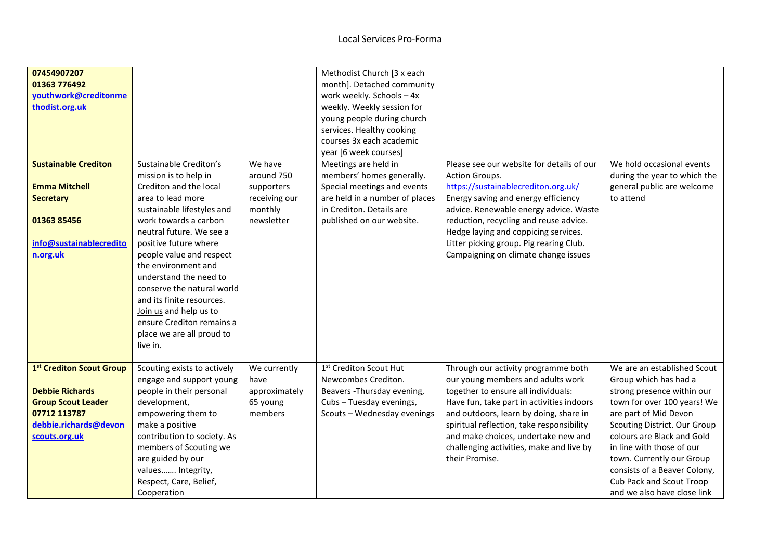| 07454907207<br>01363 776492<br>youthwork@creditonme<br>thodist.org.uk                                                                     |                                                                                                                                                                                                                                                                                                                                                                                                                                                    |                                                                               | Methodist Church [3 x each<br>month]. Detached community<br>work weekly. Schools - 4x<br>weekly. Weekly session for<br>young people during church<br>services. Healthy cooking<br>courses 3x each academic<br>year [6 week courses] |                                                                                                                                                                                                                                                                                                                                                          |                                                                                                                                                                                                                                                                                                                                                               |
|-------------------------------------------------------------------------------------------------------------------------------------------|----------------------------------------------------------------------------------------------------------------------------------------------------------------------------------------------------------------------------------------------------------------------------------------------------------------------------------------------------------------------------------------------------------------------------------------------------|-------------------------------------------------------------------------------|-------------------------------------------------------------------------------------------------------------------------------------------------------------------------------------------------------------------------------------|----------------------------------------------------------------------------------------------------------------------------------------------------------------------------------------------------------------------------------------------------------------------------------------------------------------------------------------------------------|---------------------------------------------------------------------------------------------------------------------------------------------------------------------------------------------------------------------------------------------------------------------------------------------------------------------------------------------------------------|
| <b>Sustainable Crediton</b><br><b>Emma Mitchell</b><br><b>Secretary</b><br>01363 85456<br>info@sustainablecredito<br>n.org.uk             | Sustainable Crediton's<br>mission is to help in<br>Crediton and the local<br>area to lead more<br>sustainable lifestyles and<br>work towards a carbon<br>neutral future. We see a<br>positive future where<br>people value and respect<br>the environment and<br>understand the need to<br>conserve the natural world<br>and its finite resources.<br>Join us and help us to<br>ensure Crediton remains a<br>place we are all proud to<br>live in. | We have<br>around 750<br>supporters<br>receiving our<br>monthly<br>newsletter | Meetings are held in<br>members' homes generally.<br>Special meetings and events<br>are held in a number of places<br>in Crediton. Details are<br>published on our website.                                                         | Please see our website for details of our<br>Action Groups.<br>https://sustainablecrediton.org.uk/<br>Energy saving and energy efficiency<br>advice. Renewable energy advice. Waste<br>reduction, recycling and reuse advice.<br>Hedge laying and coppicing services.<br>Litter picking group. Pig rearing Club.<br>Campaigning on climate change issues | We hold occasional events<br>during the year to which the<br>general public are welcome<br>to attend                                                                                                                                                                                                                                                          |
| 1st Crediton Scout Group<br><b>Debbie Richards</b><br><b>Group Scout Leader</b><br>07712 113787<br>debbie.richards@devon<br>scouts.org.uk | Scouting exists to actively<br>engage and support young<br>people in their personal<br>development,<br>empowering them to<br>make a positive<br>contribution to society. As<br>members of Scouting we<br>are guided by our<br>values Integrity,<br>Respect, Care, Belief,<br>Cooperation                                                                                                                                                           | We currently<br>have<br>approximately<br>65 young<br>members                  | 1st Crediton Scout Hut<br>Newcombes Crediton.<br>Beavers - Thursday evening,<br>Cubs - Tuesday evenings,<br>Scouts - Wednesday evenings                                                                                             | Through our activity programme both<br>our young members and adults work<br>together to ensure all individuals:<br>Have fun, take part in activities indoors<br>and outdoors, learn by doing, share in<br>spiritual reflection, take responsibility<br>and make choices, undertake new and<br>challenging activities, make and live by<br>their Promise. | We are an established Scout<br>Group which has had a<br>strong presence within our<br>town for over 100 years! We<br>are part of Mid Devon<br>Scouting District. Our Group<br>colours are Black and Gold<br>in line with those of our<br>town. Currently our Group<br>consists of a Beaver Colony,<br>Cub Pack and Scout Troop<br>and we also have close link |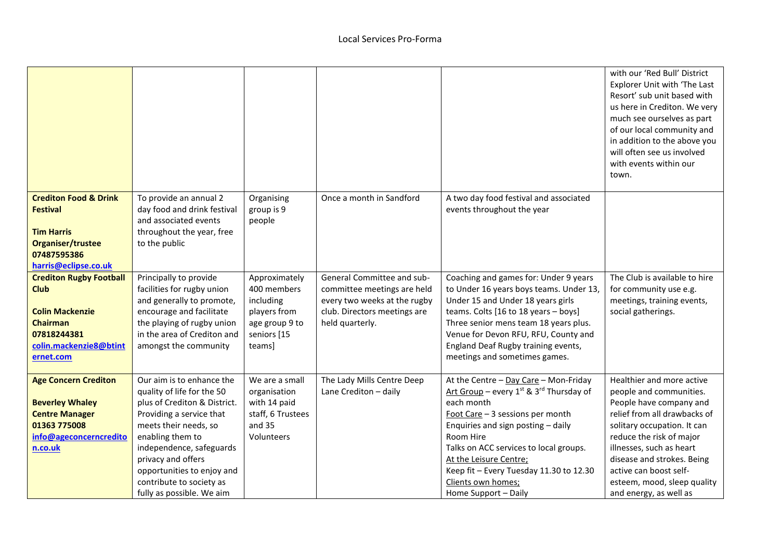|                                                                                                                                                  |                                                                                                                                                                                                                                                                                                           |                                                                                                      |                                                                                                                                              |                                                                                                                                                                                                                                                                                                                                                              | with our 'Red Bull' District<br><b>Explorer Unit with 'The Last</b><br>Resort' sub unit based with<br>us here in Crediton. We very<br>much see ourselves as part<br>of our local community and<br>in addition to the above you<br>will often see us involved                                                            |
|--------------------------------------------------------------------------------------------------------------------------------------------------|-----------------------------------------------------------------------------------------------------------------------------------------------------------------------------------------------------------------------------------------------------------------------------------------------------------|------------------------------------------------------------------------------------------------------|----------------------------------------------------------------------------------------------------------------------------------------------|--------------------------------------------------------------------------------------------------------------------------------------------------------------------------------------------------------------------------------------------------------------------------------------------------------------------------------------------------------------|-------------------------------------------------------------------------------------------------------------------------------------------------------------------------------------------------------------------------------------------------------------------------------------------------------------------------|
|                                                                                                                                                  |                                                                                                                                                                                                                                                                                                           |                                                                                                      |                                                                                                                                              |                                                                                                                                                                                                                                                                                                                                                              | with events within our<br>town.                                                                                                                                                                                                                                                                                         |
| <b>Crediton Food &amp; Drink</b><br><b>Festival</b><br><b>Tim Harris</b><br>Organiser/trustee<br>07487595386<br>harris@eclipse.co.uk             | To provide an annual 2<br>day food and drink festival<br>and associated events<br>throughout the year, free<br>to the public                                                                                                                                                                              | Organising<br>group is 9<br>people                                                                   | Once a month in Sandford                                                                                                                     | A two day food festival and associated<br>events throughout the year                                                                                                                                                                                                                                                                                         |                                                                                                                                                                                                                                                                                                                         |
| <b>Crediton Rugby Football</b><br><b>Club</b><br><b>Colin Mackenzie</b><br><b>Chairman</b><br>07818244381<br>colin.mackenzie8@btint<br>ernet.com | Principally to provide<br>facilities for rugby union<br>and generally to promote,<br>encourage and facilitate<br>the playing of rugby union<br>in the area of Crediton and<br>amongst the community                                                                                                       | Approximately<br>400 members<br>including<br>players from<br>age group 9 to<br>seniors [15<br>teams] | General Committee and sub-<br>committee meetings are held<br>every two weeks at the rugby<br>club. Directors meetings are<br>held quarterly. | Coaching and games for: Under 9 years<br>to Under 16 years boys teams. Under 13,<br>Under 15 and Under 18 years girls<br>teams. Colts [16 to 18 years - boys]<br>Three senior mens team 18 years plus.<br>Venue for Devon RFU, RFU, County and<br>England Deaf Rugby training events,<br>meetings and sometimes games.                                       | The Club is available to hire<br>for community use e.g.<br>meetings, training events,<br>social gatherings.                                                                                                                                                                                                             |
| <b>Age Concern Crediton</b><br><b>Beverley Whaley</b><br><b>Centre Manager</b><br>01363 775008<br>info@ageconcerncredito<br>n.co.uk              | Our aim is to enhance the<br>quality of life for the 50<br>plus of Crediton & District.<br>Providing a service that<br>meets their needs, so<br>enabling them to<br>independence, safeguards<br>privacy and offers<br>opportunities to enjoy and<br>contribute to society as<br>fully as possible. We aim | We are a small<br>organisation<br>with 14 paid<br>staff, 6 Trustees<br>and 35<br>Volunteers          | The Lady Mills Centre Deep<br>Lane Crediton - daily                                                                                          | At the Centre - Day Care - Mon-Friday<br>Art Group – every $1^{st}$ & $3^{rd}$ Thursday of<br>each month<br>Foot Care - 3 sessions per month<br>Enquiries and sign posting - daily<br>Room Hire<br>Talks on ACC services to local groups.<br>At the Leisure Centre;<br>Keep fit - Every Tuesday 11.30 to 12.30<br>Clients own homes;<br>Home Support - Daily | Healthier and more active<br>people and communities.<br>People have company and<br>relief from all drawbacks of<br>solitary occupation. It can<br>reduce the risk of major<br>illnesses, such as heart<br>disease and strokes. Being<br>active can boost self-<br>esteem, mood, sleep quality<br>and energy, as well as |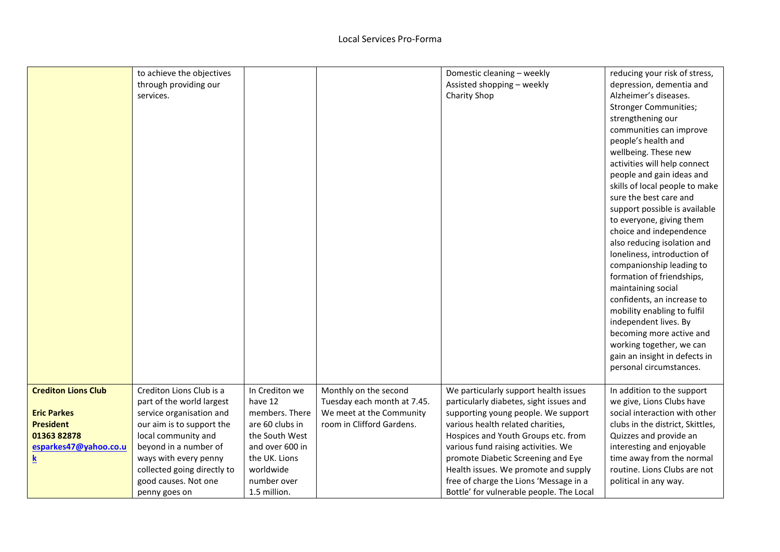|                            | to achieve the objectives   |                 |                             | Domestic cleaning - weekly               | reducing your risk of stress,    |
|----------------------------|-----------------------------|-----------------|-----------------------------|------------------------------------------|----------------------------------|
|                            | through providing our       |                 |                             | Assisted shopping - weekly               | depression, dementia and         |
|                            | services.                   |                 |                             | Charity Shop                             | Alzheimer's diseases.            |
|                            |                             |                 |                             |                                          | <b>Stronger Communities;</b>     |
|                            |                             |                 |                             |                                          | strengthening our                |
|                            |                             |                 |                             |                                          | communities can improve          |
|                            |                             |                 |                             |                                          | people's health and              |
|                            |                             |                 |                             |                                          | wellbeing. These new             |
|                            |                             |                 |                             |                                          | activities will help connect     |
|                            |                             |                 |                             |                                          | people and gain ideas and        |
|                            |                             |                 |                             |                                          | skills of local people to make   |
|                            |                             |                 |                             |                                          | sure the best care and           |
|                            |                             |                 |                             |                                          | support possible is available    |
|                            |                             |                 |                             |                                          | to everyone, giving them         |
|                            |                             |                 |                             |                                          | choice and independence          |
|                            |                             |                 |                             |                                          | also reducing isolation and      |
|                            |                             |                 |                             |                                          | loneliness, introduction of      |
|                            |                             |                 |                             |                                          | companionship leading to         |
|                            |                             |                 |                             |                                          | formation of friendships,        |
|                            |                             |                 |                             |                                          | maintaining social               |
|                            |                             |                 |                             |                                          | confidents, an increase to       |
|                            |                             |                 |                             |                                          | mobility enabling to fulfil      |
|                            |                             |                 |                             |                                          | independent lives. By            |
|                            |                             |                 |                             |                                          | becoming more active and         |
|                            |                             |                 |                             |                                          | working together, we can         |
|                            |                             |                 |                             |                                          | gain an insight in defects in    |
|                            |                             |                 |                             |                                          | personal circumstances.          |
|                            |                             |                 |                             |                                          |                                  |
| <b>Crediton Lions Club</b> | Crediton Lions Club is a    | In Crediton we  | Monthly on the second       | We particularly support health issues    | In addition to the support       |
|                            | part of the world largest   | have 12         | Tuesday each month at 7.45. | particularly diabetes, sight issues and  | we give, Lions Clubs have        |
| <b>Eric Parkes</b>         | service organisation and    | members. There  | We meet at the Community    | supporting young people. We support      | social interaction with other    |
| <b>President</b>           | our aim is to support the   | are 60 clubs in | room in Clifford Gardens.   | various health related charities,        | clubs in the district, Skittles, |
| 01363 82878                | local community and         | the South West  |                             | Hospices and Youth Groups etc. from      | Quizzes and provide an           |
| esparkes47@yahoo.co.u      | beyond in a number of       | and over 600 in |                             | various fund raising activities. We      | interesting and enjoyable        |
| <u>k</u>                   | ways with every penny       | the UK. Lions   |                             | promote Diabetic Screening and Eye       | time away from the normal        |
|                            | collected going directly to | worldwide       |                             | Health issues. We promote and supply     | routine. Lions Clubs are not     |
|                            | good causes. Not one        | number over     |                             | free of charge the Lions 'Message in a   | political in any way.            |
|                            | penny goes on               | 1.5 million.    |                             | Bottle' for vulnerable people. The Local |                                  |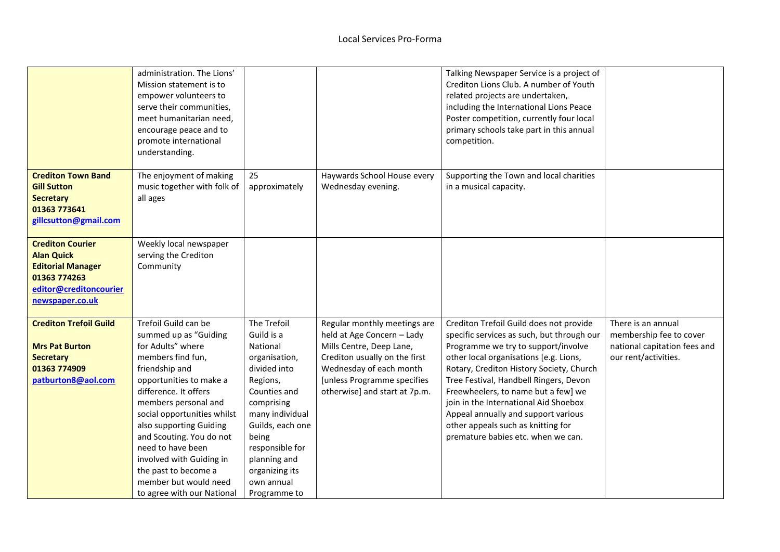|                                                                                                                                       | administration. The Lions'<br>Mission statement is to<br>empower volunteers to<br>serve their communities,<br>meet humanitarian need,<br>encourage peace and to<br>promote international<br>understanding.                                                                                                                                                                                                  |                                                                                                                                                                                                                                                     |                                                                                                                                                                                                                    | Talking Newspaper Service is a project of<br>Crediton Lions Club. A number of Youth<br>related projects are undertaken,<br>including the International Lions Peace<br>Poster competition, currently four local<br>primary schools take part in this annual<br>competition.                                                                                                                                                                                      |                                                                                                       |
|---------------------------------------------------------------------------------------------------------------------------------------|-------------------------------------------------------------------------------------------------------------------------------------------------------------------------------------------------------------------------------------------------------------------------------------------------------------------------------------------------------------------------------------------------------------|-----------------------------------------------------------------------------------------------------------------------------------------------------------------------------------------------------------------------------------------------------|--------------------------------------------------------------------------------------------------------------------------------------------------------------------------------------------------------------------|-----------------------------------------------------------------------------------------------------------------------------------------------------------------------------------------------------------------------------------------------------------------------------------------------------------------------------------------------------------------------------------------------------------------------------------------------------------------|-------------------------------------------------------------------------------------------------------|
| <b>Crediton Town Band</b><br><b>Gill Sutton</b><br><b>Secretary</b><br>01363 773641<br>gillcsutton@gmail.com                          | The enjoyment of making<br>music together with folk of<br>all ages                                                                                                                                                                                                                                                                                                                                          | 25<br>approximately                                                                                                                                                                                                                                 | Haywards School House every<br>Wednesday evening.                                                                                                                                                                  | Supporting the Town and local charities<br>in a musical capacity.                                                                                                                                                                                                                                                                                                                                                                                               |                                                                                                       |
| <b>Crediton Courier</b><br><b>Alan Quick</b><br><b>Editorial Manager</b><br>01363 774263<br>editor@creditoncourier<br>newspaper.co.uk | Weekly local newspaper<br>serving the Crediton<br>Community                                                                                                                                                                                                                                                                                                                                                 |                                                                                                                                                                                                                                                     |                                                                                                                                                                                                                    |                                                                                                                                                                                                                                                                                                                                                                                                                                                                 |                                                                                                       |
| <b>Crediton Trefoil Guild</b><br><b>Mrs Pat Burton</b><br><b>Secretary</b><br>01363 774909<br>patburton8@aol.com                      | Trefoil Guild can be<br>summed up as "Guiding<br>for Adults" where<br>members find fun,<br>friendship and<br>opportunities to make a<br>difference. It offers<br>members personal and<br>social opportunities whilst<br>also supporting Guiding<br>and Scouting. You do not<br>need to have been<br>involved with Guiding in<br>the past to become a<br>member but would need<br>to agree with our National | The Trefoil<br>Guild is a<br>National<br>organisation,<br>divided into<br>Regions,<br>Counties and<br>comprising<br>many individual<br>Guilds, each one<br>being<br>responsible for<br>planning and<br>organizing its<br>own annual<br>Programme to | Regular monthly meetings are<br>held at Age Concern - Lady<br>Mills Centre, Deep Lane,<br>Crediton usually on the first<br>Wednesday of each month<br>[unless Programme specifies<br>otherwise] and start at 7p.m. | Crediton Trefoil Guild does not provide<br>specific services as such, but through our<br>Programme we try to support/involve<br>other local organisations [e.g. Lions,<br>Rotary, Crediton History Society, Church<br>Tree Festival, Handbell Ringers, Devon<br>Freewheelers, to name but a few] we<br>join in the International Aid Shoebox<br>Appeal annually and support various<br>other appeals such as knitting for<br>premature babies etc. when we can. | There is an annual<br>membership fee to cover<br>national capitation fees and<br>our rent/activities. |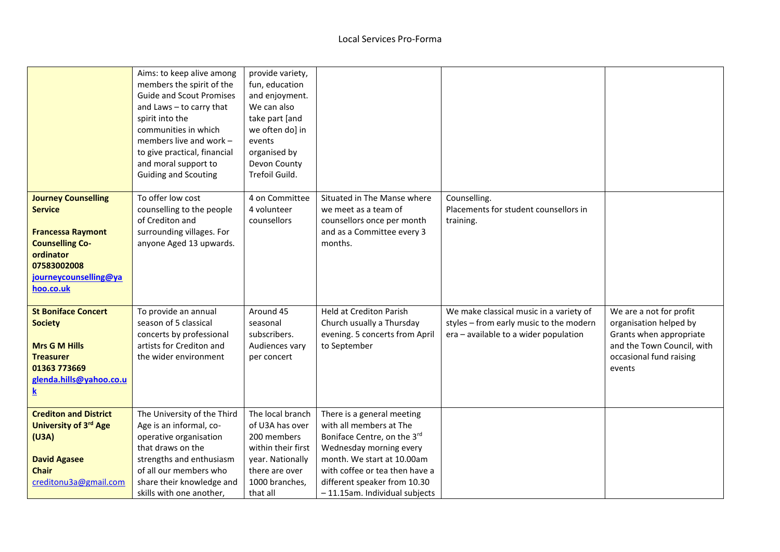|                                                                                                                                                                      | Aims: to keep alive among<br>members the spirit of the<br><b>Guide and Scout Promises</b><br>and Laws - to carry that<br>spirit into the<br>communities in which<br>members live and work -<br>to give practical, financial<br>and moral support to<br><b>Guiding and Scouting</b> | provide variety,<br>fun, education<br>and enjoyment.<br>We can also<br>take part [and<br>we often do] in<br>events<br>organised by<br>Devon County<br>Trefoil Guild. |                                                                                                                                                                                                                                                   |                                                                                                                             |                                                                                                                                                 |
|----------------------------------------------------------------------------------------------------------------------------------------------------------------------|------------------------------------------------------------------------------------------------------------------------------------------------------------------------------------------------------------------------------------------------------------------------------------|----------------------------------------------------------------------------------------------------------------------------------------------------------------------|---------------------------------------------------------------------------------------------------------------------------------------------------------------------------------------------------------------------------------------------------|-----------------------------------------------------------------------------------------------------------------------------|-------------------------------------------------------------------------------------------------------------------------------------------------|
| <b>Journey Counselling</b><br><b>Service</b><br><b>Francessa Raymont</b><br><b>Counselling Co-</b><br>ordinator<br>07583002008<br>journeycounselling@ya<br>hoo.co.uk | To offer low cost<br>counselling to the people<br>of Crediton and<br>surrounding villages. For<br>anyone Aged 13 upwards.                                                                                                                                                          | 4 on Committee<br>4 volunteer<br>counsellors                                                                                                                         | Situated in The Manse where<br>we meet as a team of<br>counsellors once per month<br>and as a Committee every 3<br>months.                                                                                                                        | Counselling.<br>Placements for student counsellors in<br>training.                                                          |                                                                                                                                                 |
| <b>St Boniface Concert</b><br><b>Society</b><br><b>Mrs G M Hills</b><br><b>Treasurer</b><br>01363 773669<br>glenda.hills@yahoo.co.u<br>k                             | To provide an annual<br>season of 5 classical<br>concerts by professional<br>artists for Crediton and<br>the wider environment                                                                                                                                                     | Around 45<br>seasonal<br>subscribers.<br>Audiences vary<br>per concert                                                                                               | <b>Held at Crediton Parish</b><br>Church usually a Thursday<br>evening. 5 concerts from April<br>to September                                                                                                                                     | We make classical music in a variety of<br>styles - from early music to the modern<br>era - available to a wider population | We are a not for profit<br>organisation helped by<br>Grants when appropriate<br>and the Town Council, with<br>occasional fund raising<br>events |
| <b>Crediton and District</b><br>University of 3rd Age<br>(U3A)<br><b>David Agasee</b><br><b>Chair</b><br>creditonu3a@gmail.com                                       | The University of the Third<br>Age is an informal, co-<br>operative organisation<br>that draws on the<br>strengths and enthusiasm<br>of all our members who<br>share their knowledge and<br>skills with one another,                                                               | The local branch<br>of U3A has over<br>200 members<br>within their first<br>year. Nationally<br>there are over<br>1000 branches,<br>that all                         | There is a general meeting<br>with all members at The<br>Boniface Centre, on the 3rd<br>Wednesday morning every<br>month. We start at 10.00am<br>with coffee or tea then have a<br>different speaker from 10.30<br>- 11.15am. Individual subjects |                                                                                                                             |                                                                                                                                                 |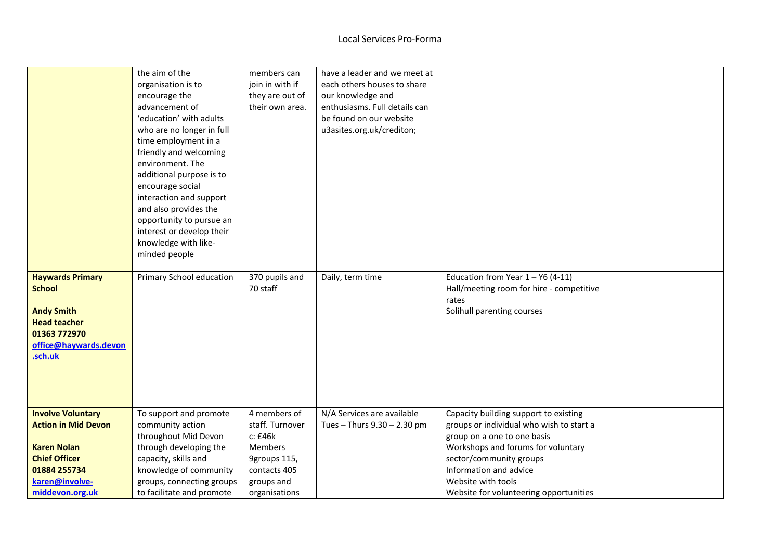|                            | the aim of the            | members can     | have a leader and we meet at  |                                          |  |
|----------------------------|---------------------------|-----------------|-------------------------------|------------------------------------------|--|
|                            | organisation is to        | join in with if | each others houses to share   |                                          |  |
|                            | encourage the             | they are out of | our knowledge and             |                                          |  |
|                            | advancement of            | their own area. | enthusiasms. Full details can |                                          |  |
|                            | 'education' with adults   |                 | be found on our website       |                                          |  |
|                            | who are no longer in full |                 | u3asites.org.uk/crediton;     |                                          |  |
|                            | time employment in a      |                 |                               |                                          |  |
|                            | friendly and welcoming    |                 |                               |                                          |  |
|                            | environment. The          |                 |                               |                                          |  |
|                            | additional purpose is to  |                 |                               |                                          |  |
|                            | encourage social          |                 |                               |                                          |  |
|                            | interaction and support   |                 |                               |                                          |  |
|                            | and also provides the     |                 |                               |                                          |  |
|                            | opportunity to pursue an  |                 |                               |                                          |  |
|                            | interest or develop their |                 |                               |                                          |  |
|                            | knowledge with like-      |                 |                               |                                          |  |
|                            | minded people             |                 |                               |                                          |  |
| <b>Haywards Primary</b>    | Primary School education  | 370 pupils and  | Daily, term time              | Education from Year $1 - Y6$ (4-11)      |  |
| <b>School</b>              |                           | 70 staff        |                               | Hall/meeting room for hire - competitive |  |
|                            |                           |                 |                               | rates                                    |  |
| <b>Andy Smith</b>          |                           |                 |                               | Solihull parenting courses               |  |
| <b>Head teacher</b>        |                           |                 |                               |                                          |  |
| 01363 772970               |                           |                 |                               |                                          |  |
| office@haywards.devon      |                           |                 |                               |                                          |  |
| .sch.uk                    |                           |                 |                               |                                          |  |
|                            |                           |                 |                               |                                          |  |
|                            |                           |                 |                               |                                          |  |
|                            |                           |                 |                               |                                          |  |
|                            |                           |                 |                               |                                          |  |
| <b>Involve Voluntary</b>   | To support and promote    | 4 members of    | N/A Services are available    | Capacity building support to existing    |  |
| <b>Action in Mid Devon</b> | community action          | staff. Turnover | Tues - Thurs 9.30 - 2.30 pm   | groups or individual who wish to start a |  |
|                            | throughout Mid Devon      | c: £46k         |                               | group on a one to one basis              |  |
| <b>Karen Nolan</b>         | through developing the    | Members         |                               | Workshops and forums for voluntary       |  |
| <b>Chief Officer</b>       | capacity, skills and      | 9groups 115,    |                               | sector/community groups                  |  |
| 01884 255734               | knowledge of community    | contacts 405    |                               | Information and advice                   |  |
| karen@involve-             | groups, connecting groups | groups and      |                               | Website with tools                       |  |
| middevon.org.uk            | to facilitate and promote | organisations   |                               | Website for volunteering opportunities   |  |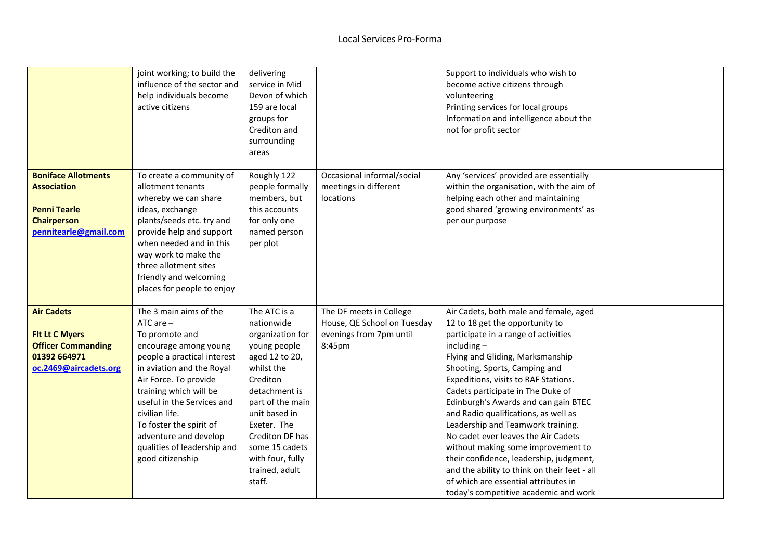|                                                                                                                        | joint working; to build the<br>influence of the sector and<br>help individuals become<br>active citizens                                                                                                                                                                                                                                                 | delivering<br>service in Mid<br>Devon of which<br>159 are local<br>groups for<br>Crediton and<br>surrounding<br>areas                                                                                                                                                |                                                                                             | Support to individuals who wish to<br>become active citizens through<br>volunteering<br>Printing services for local groups<br>Information and intelligence about the<br>not for profit sector                                                                                                                                                                                                                                                                                                                                                                                                                                                                      |  |
|------------------------------------------------------------------------------------------------------------------------|----------------------------------------------------------------------------------------------------------------------------------------------------------------------------------------------------------------------------------------------------------------------------------------------------------------------------------------------------------|----------------------------------------------------------------------------------------------------------------------------------------------------------------------------------------------------------------------------------------------------------------------|---------------------------------------------------------------------------------------------|--------------------------------------------------------------------------------------------------------------------------------------------------------------------------------------------------------------------------------------------------------------------------------------------------------------------------------------------------------------------------------------------------------------------------------------------------------------------------------------------------------------------------------------------------------------------------------------------------------------------------------------------------------------------|--|
| <b>Boniface Allotments</b><br><b>Association</b><br><b>Penni Tearle</b><br><b>Chairperson</b><br>pennitearle@gmail.com | To create a community of<br>allotment tenants<br>whereby we can share<br>ideas, exchange<br>plants/seeds etc. try and<br>provide help and support<br>when needed and in this<br>way work to make the<br>three allotment sites<br>friendly and welcoming<br>places for people to enjoy                                                                    | Roughly 122<br>people formally<br>members, but<br>this accounts<br>for only one<br>named person<br>per plot                                                                                                                                                          | Occasional informal/social<br>meetings in different<br>locations                            | Any 'services' provided are essentially<br>within the organisation, with the aim of<br>helping each other and maintaining<br>good shared 'growing environments' as<br>per our purpose                                                                                                                                                                                                                                                                                                                                                                                                                                                                              |  |
| <b>Air Cadets</b><br><b>Flt Lt C Myers</b><br><b>Officer Commanding</b><br>01392 664971<br>oc.2469@aircadets.org       | The 3 main aims of the<br>$ATC$ are $-$<br>To promote and<br>encourage among young<br>people a practical interest<br>in aviation and the Royal<br>Air Force. To provide<br>training which will be<br>useful in the Services and<br>civilian life.<br>To foster the spirit of<br>adventure and develop<br>qualities of leadership and<br>good citizenship | The ATC is a<br>nationwide<br>organization for<br>young people<br>aged 12 to 20,<br>whilst the<br>Crediton<br>detachment is<br>part of the main<br>unit based in<br>Exeter. The<br>Crediton DF has<br>some 15 cadets<br>with four, fully<br>trained, adult<br>staff. | The DF meets in College<br>House, QE School on Tuesday<br>evenings from 7pm until<br>8:45pm | Air Cadets, both male and female, aged<br>12 to 18 get the opportunity to<br>participate in a range of activities<br>$including -$<br>Flying and Gliding, Marksmanship<br>Shooting, Sports, Camping and<br>Expeditions, visits to RAF Stations.<br>Cadets participate in The Duke of<br>Edinburgh's Awards and can gain BTEC<br>and Radio qualifications, as well as<br>Leadership and Teamwork training.<br>No cadet ever leaves the Air Cadets<br>without making some improvement to<br>their confidence, leadership, judgment,<br>and the ability to think on their feet - all<br>of which are essential attributes in<br>today's competitive academic and work |  |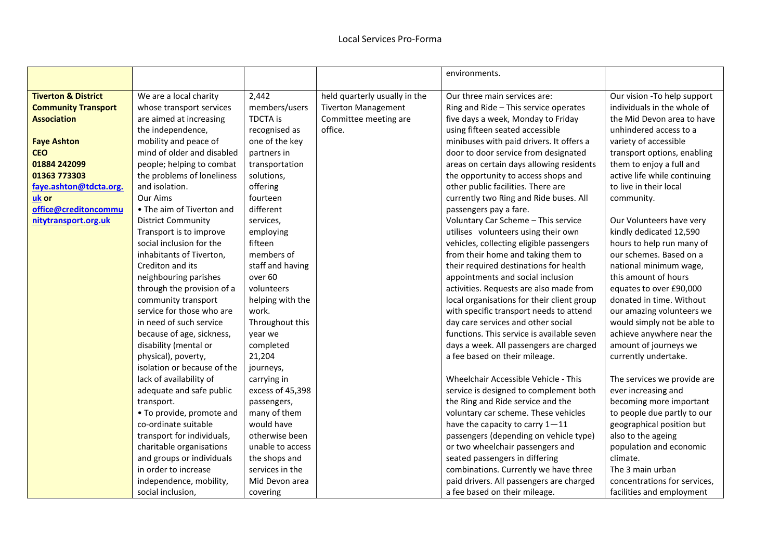|                                |                             |                  |                               | environments.                              |                              |
|--------------------------------|-----------------------------|------------------|-------------------------------|--------------------------------------------|------------------------------|
| <b>Tiverton &amp; District</b> | We are a local charity      | 2,442            | held quarterly usually in the | Our three main services are:               | Our vision - To help support |
| <b>Community Transport</b>     | whose transport services    | members/users    | <b>Tiverton Management</b>    | Ring and Ride - This service operates      | individuals in the whole of  |
| <b>Association</b>             | are aimed at increasing     | <b>TDCTA</b> is  | Committee meeting are         | five days a week, Monday to Friday         | the Mid Devon area to have   |
|                                | the independence,           | recognised as    | office.                       | using fifteen seated accessible            | unhindered access to a       |
| <b>Faye Ashton</b>             | mobility and peace of       | one of the key   |                               | minibuses with paid drivers. It offers a   | variety of accessible        |
| <b>CEO</b>                     | mind of older and disabled  | partners in      |                               | door to door service from designated       | transport options, enabling  |
| 01884 242099                   | people; helping to combat   | transportation   |                               | areas on certain days allowing residents   | them to enjoy a full and     |
| 01363 773303                   | the problems of loneliness  | solutions,       |                               | the opportunity to access shops and        | active life while continuing |
| faye.ashton@tdcta.org.         | and isolation.              | offering         |                               | other public facilities. There are         | to live in their local       |
| uk or                          | Our Aims                    | fourteen         |                               | currently two Ring and Ride buses. All     | community.                   |
| office@creditoncommu           | • The aim of Tiverton and   | different        |                               | passengers pay a fare.                     |                              |
| nitytransport.org.uk           | <b>District Community</b>   | services,        |                               | Voluntary Car Scheme - This service        | Our Volunteers have very     |
|                                | Transport is to improve     | employing        |                               | utilises volunteers using their own        | kindly dedicated 12,590      |
|                                | social inclusion for the    | fifteen          |                               | vehicles, collecting eligible passengers   | hours to help run many of    |
|                                | inhabitants of Tiverton.    | members of       |                               | from their home and taking them to         | our schemes. Based on a      |
|                                | Crediton and its            | staff and having |                               | their required destinations for health     | national minimum wage,       |
|                                | neighbouring parishes       | over 60          |                               | appointments and social inclusion          | this amount of hours         |
|                                | through the provision of a  | volunteers       |                               | activities. Requests are also made from    | equates to over £90,000      |
|                                | community transport         | helping with the |                               | local organisations for their client group | donated in time. Without     |
|                                | service for those who are   | work.            |                               | with specific transport needs to attend    | our amazing volunteers we    |
|                                | in need of such service     | Throughout this  |                               | day care services and other social         | would simply not be able to  |
|                                | because of age, sickness,   | year we          |                               | functions. This service is available seven | achieve anywhere near the    |
|                                | disability (mental or       | completed        |                               | days a week. All passengers are charged    | amount of journeys we        |
|                                | physical), poverty,         | 21,204           |                               | a fee based on their mileage.              | currently undertake.         |
|                                | isolation or because of the | journeys,        |                               |                                            |                              |
|                                | lack of availability of     | carrying in      |                               | Wheelchair Accessible Vehicle - This       | The services we provide are  |
|                                | adequate and safe public    | excess of 45,398 |                               | service is designed to complement both     | ever increasing and          |
|                                | transport.                  | passengers,      |                               | the Ring and Ride service and the          | becoming more important      |
|                                | • To provide, promote and   | many of them     |                               | voluntary car scheme. These vehicles       | to people due partly to our  |
|                                | co-ordinate suitable        | would have       |                               | have the capacity to carry 1-11            | geographical position but    |
|                                | transport for individuals,  | otherwise been   |                               | passengers (depending on vehicle type)     | also to the ageing           |
|                                | charitable organisations    | unable to access |                               | or two wheelchair passengers and           | population and economic      |
|                                | and groups or individuals   | the shops and    |                               | seated passengers in differing             | climate.                     |
|                                | in order to increase        | services in the  |                               | combinations. Currently we have three      | The 3 main urban             |
|                                | independence, mobility,     | Mid Devon area   |                               | paid drivers. All passengers are charged   | concentrations for services, |
|                                | social inclusion,           | covering         |                               | a fee based on their mileage.              | facilities and employment    |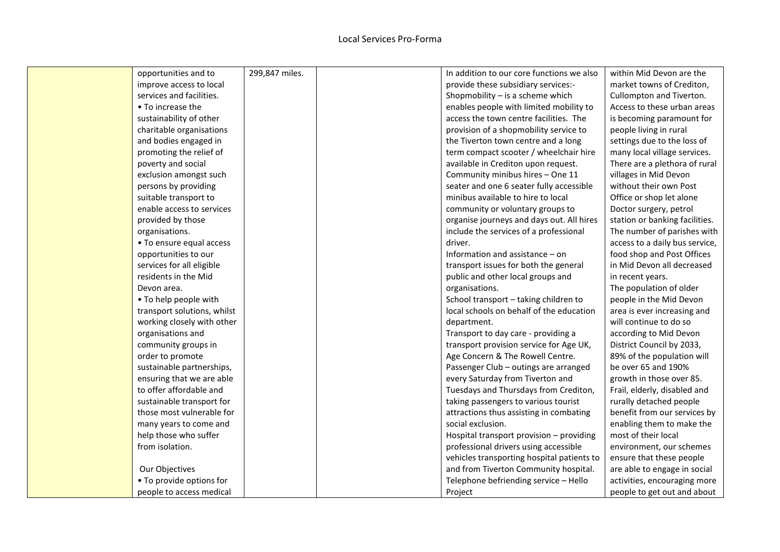| opportunities and to        | 299,847 miles. | In addition to our core functions we also  | within Mid Devon are the       |
|-----------------------------|----------------|--------------------------------------------|--------------------------------|
| improve access to local     |                | provide these subsidiary services:-        | market towns of Crediton,      |
| services and facilities.    |                | Shopmobility - is a scheme which           | Cullompton and Tiverton.       |
| • To increase the           |                | enables people with limited mobility to    | Access to these urban areas    |
| sustainability of other     |                | access the town centre facilities. The     | is becoming paramount for      |
| charitable organisations    |                | provision of a shopmobility service to     | people living in rural         |
| and bodies engaged in       |                | the Tiverton town centre and a long        | settings due to the loss of    |
| promoting the relief of     |                | term compact scooter / wheelchair hire     | many local village services.   |
| poverty and social          |                | available in Crediton upon request.        | There are a plethora of rural  |
| exclusion amongst such      |                | Community minibus hires - One 11           | villages in Mid Devon          |
| persons by providing        |                | seater and one 6 seater fully accessible   | without their own Post         |
| suitable transport to       |                | minibus available to hire to local         | Office or shop let alone       |
| enable access to services   |                | community or voluntary groups to           | Doctor surgery, petrol         |
| provided by those           |                | organise journeys and days out. All hires  | station or banking facilities. |
| organisations.              |                | include the services of a professional     | The number of parishes with    |
| • To ensure equal access    |                | driver.                                    | access to a daily bus service, |
| opportunities to our        |                | Information and assistance $-$ on          | food shop and Post Offices     |
| services for all eligible   |                | transport issues for both the general      | in Mid Devon all decreased     |
| residents in the Mid        |                | public and other local groups and          | in recent years.               |
| Devon area.                 |                | organisations.                             | The population of older        |
| • To help people with       |                | School transport - taking children to      | people in the Mid Devon        |
| transport solutions, whilst |                | local schools on behalf of the education   | area is ever increasing and    |
| working closely with other  |                | department.                                | will continue to do so         |
| organisations and           |                | Transport to day care - providing a        | according to Mid Devon         |
| community groups in         |                | transport provision service for Age UK,    | District Council by 2033,      |
| order to promote            |                | Age Concern & The Rowell Centre.           | 89% of the population will     |
| sustainable partnerships,   |                | Passenger Club - outings are arranged      | be over 65 and 190%            |
| ensuring that we are able   |                | every Saturday from Tiverton and           | growth in those over 85.       |
| to offer affordable and     |                | Tuesdays and Thursdays from Crediton,      | Frail, elderly, disabled and   |
| sustainable transport for   |                | taking passengers to various tourist       | rurally detached people        |
| those most vulnerable for   |                | attractions thus assisting in combating    | benefit from our services by   |
| many years to come and      |                | social exclusion.                          | enabling them to make the      |
| help those who suffer       |                | Hospital transport provision - providing   | most of their local            |
| from isolation.             |                | professional drivers using accessible      | environment, our schemes       |
|                             |                | vehicles transporting hospital patients to | ensure that these people       |
| Our Objectives              |                | and from Tiverton Community hospital.      | are able to engage in social   |
| • To provide options for    |                | Telephone befriending service - Hello      | activities, encouraging more   |
| people to access medical    |                | Project                                    | people to get out and about    |